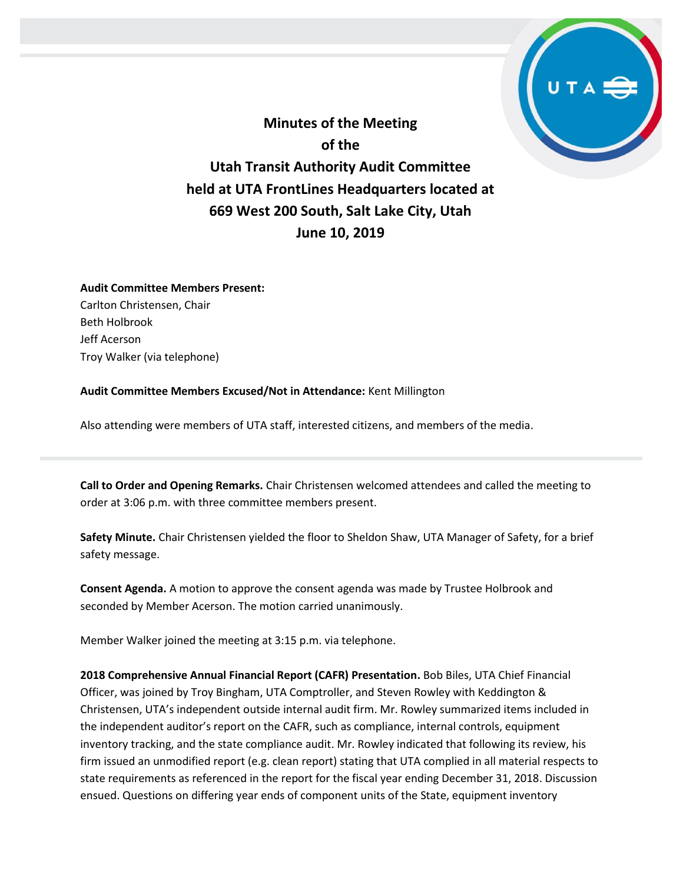

**Minutes of the Meeting of the Utah Transit Authority Audit Committee held at UTA FrontLines Headquarters located at 669 West 200 South, Salt Lake City, Utah June 10, 2019**

## **Audit Committee Members Present:**

Carlton Christensen, Chair Beth Holbrook Jeff Acerson Troy Walker (via telephone)

**Audit Committee Members Excused/Not in Attendance:** Kent Millington

Also attending were members of UTA staff, interested citizens, and members of the media.

**Call to Order and Opening Remarks.** Chair Christensen welcomed attendees and called the meeting to order at 3:06 p.m. with three committee members present.

**Safety Minute.** Chair Christensen yielded the floor to Sheldon Shaw, UTA Manager of Safety, for a brief safety message.

**Consent Agenda.** A motion to approve the consent agenda was made by Trustee Holbrook and seconded by Member Acerson. The motion carried unanimously.

Member Walker joined the meeting at 3:15 p.m. via telephone.

**2018 Comprehensive Annual Financial Report (CAFR) Presentation.** Bob Biles, UTA Chief Financial Officer, was joined by Troy Bingham, UTA Comptroller, and Steven Rowley with Keddington & Christensen, UTA's independent outside internal audit firm. Mr. Rowley summarized items included in the independent auditor's report on the CAFR, such as compliance, internal controls, equipment inventory tracking, and the state compliance audit. Mr. Rowley indicated that following its review, his firm issued an unmodified report (e.g. clean report) stating that UTA complied in all material respects to state requirements as referenced in the report for the fiscal year ending December 31, 2018. Discussion ensued. Questions on differing year ends of component units of the State, equipment inventory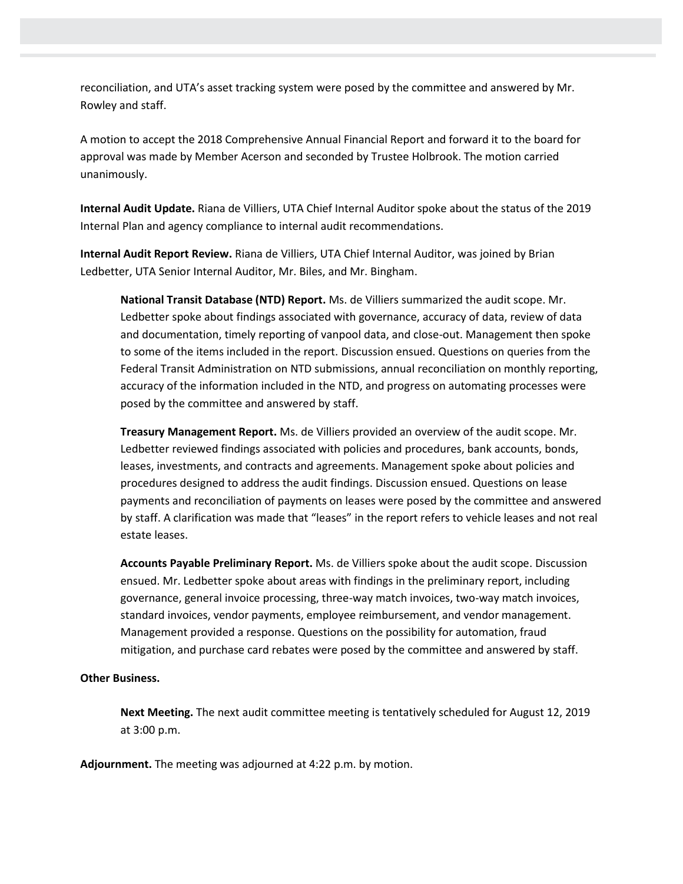reconciliation, and UTA's asset tracking system were posed by the committee and answered by Mr. Rowley and staff.

A motion to accept the 2018 Comprehensive Annual Financial Report and forward it to the board for approval was made by Member Acerson and seconded by Trustee Holbrook. The motion carried unanimously.

**Internal Audit Update.** Riana de Villiers, UTA Chief Internal Auditor spoke about the status of the 2019 Internal Plan and agency compliance to internal audit recommendations.

**Internal Audit Report Review.** Riana de Villiers, UTA Chief Internal Auditor, was joined by Brian Ledbetter, UTA Senior Internal Auditor, Mr. Biles, and Mr. Bingham.

**National Transit Database (NTD) Report.** Ms. de Villiers summarized the audit scope. Mr. Ledbetter spoke about findings associated with governance, accuracy of data, review of data and documentation, timely reporting of vanpool data, and close-out. Management then spoke to some of the items included in the report. Discussion ensued. Questions on queries from the Federal Transit Administration on NTD submissions, annual reconciliation on monthly reporting, accuracy of the information included in the NTD, and progress on automating processes were posed by the committee and answered by staff.

**Treasury Management Report.** Ms. de Villiers provided an overview of the audit scope. Mr. Ledbetter reviewed findings associated with policies and procedures, bank accounts, bonds, leases, investments, and contracts and agreements. Management spoke about policies and procedures designed to address the audit findings. Discussion ensued. Questions on lease payments and reconciliation of payments on leases were posed by the committee and answered by staff. A clarification was made that "leases" in the report refers to vehicle leases and not real estate leases.

**Accounts Payable Preliminary Report.** Ms. de Villiers spoke about the audit scope. Discussion ensued. Mr. Ledbetter spoke about areas with findings in the preliminary report, including governance, general invoice processing, three-way match invoices, two-way match invoices, standard invoices, vendor payments, employee reimbursement, and vendor management. Management provided a response. Questions on the possibility for automation, fraud mitigation, and purchase card rebates were posed by the committee and answered by staff.

## **Other Business.**

**Next Meeting.** The next audit committee meeting is tentatively scheduled for August 12, 2019 at 3:00 p.m.

**Adjournment.** The meeting was adjourned at 4:22 p.m. by motion.